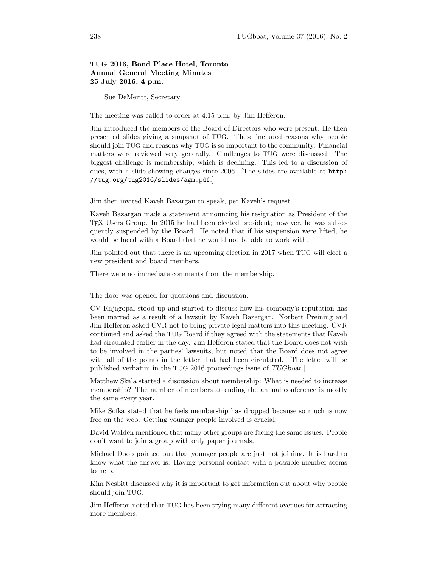## TUG 2016, Bond Place Hotel, Toronto Annual General Meeting Minutes 25 July 2016, 4 p.m.

Sue DeMeritt, Secretary

The meeting was called to order at 4:15 p.m. by Jim Hefferon.

Jim introduced the members of the Board of Directors who were present. He then presented slides giving a snapshot of TUG. These included reasons why people should join TUG and reasons why TUG is so important to the community. Financial matters were reviewed very generally. Challenges to TUG were discussed. The biggest challenge is membership, which is declining. This led to a discussion of dues, with a slide showing changes since 2006. [The slides are available at http: //tug.org/tug2016/slides/agm.pdf.]

Jim then invited Kaveh Bazargan to speak, per Kaveh's request.

Kaveh Bazargan made a statement announcing his resignation as President of the TEX Users Group. In 2015 he had been elected president; however, he was subsequently suspended by the Board. He noted that if his suspension were lifted, he would be faced with a Board that he would not be able to work with.

Jim pointed out that there is an upcoming election in 2017 when TUG will elect a new president and board members.

There were no immediate comments from the membership.

The floor was opened for questions and discussion.

CV Rajagopal stood up and started to discuss how his company's reputation has been marred as a result of a lawsuit by Kaveh Bazargan. Norbert Preining and Jim Hefferon asked CVR not to bring private legal matters into this meeting. CVR continued and asked the TUG Board if they agreed with the statements that Kaveh had circulated earlier in the day. Jim Hefferon stated that the Board does not wish to be involved in the parties' lawsuits, but noted that the Board does not agree with all of the points in the letter that had been circulated. [The letter will be published verbatim in the TUG 2016 proceedings issue of TUGboat.]

Matthew Skala started a discussion about membership: What is needed to increase membership? The number of members attending the annual conference is mostly the same every year.

Mike Sofka stated that he feels membership has dropped because so much is now free on the web. Getting younger people involved is crucial.

David Walden mentioned that many other groups are facing the same issues. People don't want to join a group with only paper journals.

Michael Doob pointed out that younger people are just not joining. It is hard to know what the answer is. Having personal contact with a possible member seems to help.

Kim Nesbitt discussed why it is important to get information out about why people should join TUG.

Jim Hefferon noted that TUG has been trying many different avenues for attracting more members.